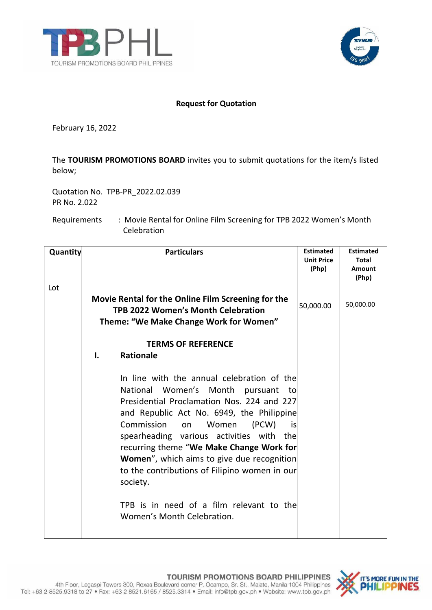



## **Request for Quotation**

February 16, 2022

The **TOURISM PROMOTIONS BOARD** invites you to submit quotations for the item/s listed below;

Quotation No. TPB-PR\_2022.02.039 PR No. 2.022

Requirements : Movie Rental for Online Film Screening for TPB 2022 Women's Month Celebration

| Quantity | <b>Particulars</b>                                                                                                                                                                                                                                                                                                                                                                                                                                                                                              | <b>Estimated</b><br><b>Unit Price</b><br>(Php) | <b>Estimated</b><br><b>Total</b><br>Amount<br>(Php) |
|----------|-----------------------------------------------------------------------------------------------------------------------------------------------------------------------------------------------------------------------------------------------------------------------------------------------------------------------------------------------------------------------------------------------------------------------------------------------------------------------------------------------------------------|------------------------------------------------|-----------------------------------------------------|
| Lot      | Movie Rental for the Online Film Screening for the<br><b>TPB 2022 Women's Month Celebration</b><br>Theme: "We Make Change Work for Women"                                                                                                                                                                                                                                                                                                                                                                       | 50,000.00                                      | 50,000.00                                           |
|          | <b>TERMS OF REFERENCE</b><br><b>Rationale</b><br>I.                                                                                                                                                                                                                                                                                                                                                                                                                                                             |                                                |                                                     |
|          | In line with the annual celebration of the<br>National Women's Month pursuant<br>to<br>Presidential Proclamation Nos. 224 and 227<br>and Republic Act No. 6949, the Philippine<br>Commission<br>Women<br>(PCW)<br>on<br>is<br>spearheading various activities with the<br>recurring theme "We Make Change Work for<br><b>Women</b> ", which aims to give due recognition<br>to the contributions of Filipino women in our<br>society.<br>TPB is in need of a film relevant to the<br>Women's Month Celebration. |                                                |                                                     |

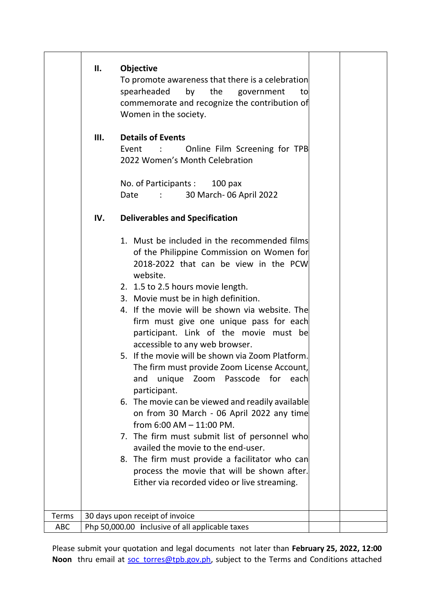|            | ΙΙ.<br><b>Objective</b><br>To promote awareness that there is a celebration<br>spearheaded<br>by the<br>government<br>to<br>commemorate and recognize the contribution of<br>Women in the society.                                                                                                                                                                                                                                                                                                                                                                                                                                                                                                                                                         |  |
|------------|------------------------------------------------------------------------------------------------------------------------------------------------------------------------------------------------------------------------------------------------------------------------------------------------------------------------------------------------------------------------------------------------------------------------------------------------------------------------------------------------------------------------------------------------------------------------------------------------------------------------------------------------------------------------------------------------------------------------------------------------------------|--|
|            | <b>Details of Events</b><br>III.<br>Online Film Screening for TPB<br>Event<br>2022 Women's Month Celebration<br>No. of Participants: 100 pax                                                                                                                                                                                                                                                                                                                                                                                                                                                                                                                                                                                                               |  |
|            | 30 March- 06 April 2022<br>Date<br>$1 - 1$                                                                                                                                                                                                                                                                                                                                                                                                                                                                                                                                                                                                                                                                                                                 |  |
|            | IV.<br><b>Deliverables and Specification</b>                                                                                                                                                                                                                                                                                                                                                                                                                                                                                                                                                                                                                                                                                                               |  |
|            | 1. Must be included in the recommended films<br>of the Philippine Commission on Women for<br>2018-2022 that can be view in the PCW<br>website.<br>2. 1.5 to 2.5 hours movie length.<br>3. Movie must be in high definition.<br>4. If the movie will be shown via website. The<br>firm must give one unique pass for each<br>participant. Link of the movie must be<br>accessible to any web browser.<br>5. If the movie will be shown via Zoom Platform.<br>The firm must provide Zoom License Account,<br>Passcode for<br>unique<br>Zoom<br>and<br>each<br>participant.<br>6. The movie can be viewed and readily available<br>on from 30 March - 06 April 2022 any time<br>from $6:00$ AM $-$ 11:00 PM.<br>7. The firm must submit list of personnel who |  |
|            | availed the movie to the end-user.<br>8. The firm must provide a facilitator who can<br>process the movie that will be shown after.                                                                                                                                                                                                                                                                                                                                                                                                                                                                                                                                                                                                                        |  |
|            | Either via recorded video or live streaming.                                                                                                                                                                                                                                                                                                                                                                                                                                                                                                                                                                                                                                                                                                               |  |
| Terms      | 30 days upon receipt of invoice                                                                                                                                                                                                                                                                                                                                                                                                                                                                                                                                                                                                                                                                                                                            |  |
| <b>ABC</b> | Php 50,000.00 inclusive of all applicable taxes                                                                                                                                                                                                                                                                                                                                                                                                                                                                                                                                                                                                                                                                                                            |  |

Please submit your quotation and legal documents not later than **February 25, 2022, 12:00** Noon thru email at soc torres@tpb.gov.ph, subject to the Terms and Conditions attached